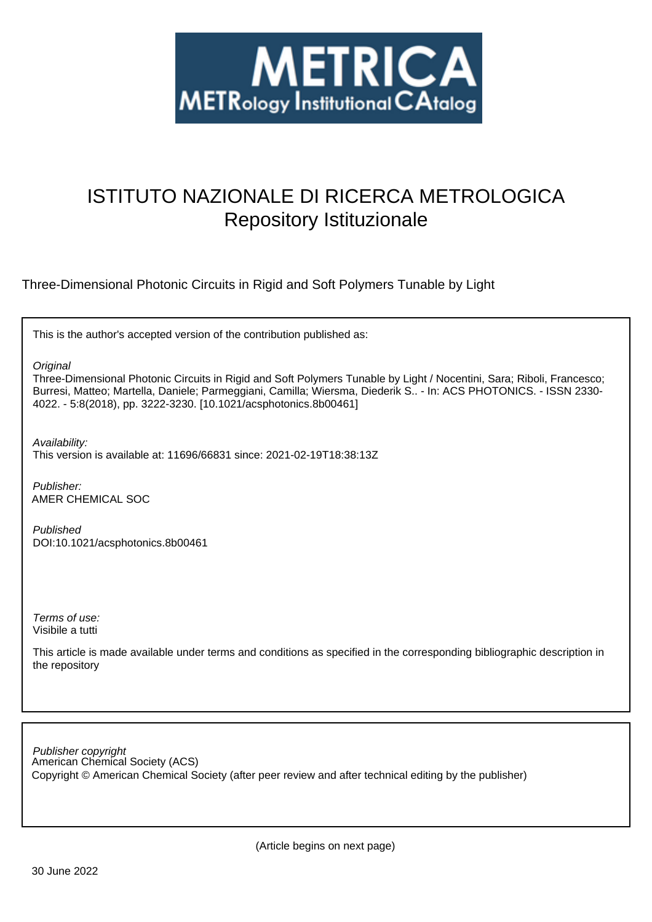

# ISTITUTO NAZIONALE DI RICERCA METROLOGICA Repository Istituzionale

Three-Dimensional Photonic Circuits in Rigid and Soft Polymers Tunable by Light

This is the author's accepted version of the contribution published as:

**Original** 

Three-Dimensional Photonic Circuits in Rigid and Soft Polymers Tunable by Light / Nocentini, Sara; Riboli, Francesco; Burresi, Matteo; Martella, Daniele; Parmeggiani, Camilla; Wiersma, Diederik S.. - In: ACS PHOTONICS. - ISSN 2330- 4022. - 5:8(2018), pp. 3222-3230. [10.1021/acsphotonics.8b00461]

Availability: This version is available at: 11696/66831 since: 2021-02-19T18:38:13Z

Publisher: AMER CHEMICAL SOC

Published DOI:10.1021/acsphotonics.8b00461

Terms of use: Visibile a tutti

This article is made available under terms and conditions as specified in the corresponding bibliographic description in the repository

American Chemical Society (ACS) Publisher copyright Copyright © American Chemical Society (after peer review and after technical editing by the publisher)

(Article begins on next page)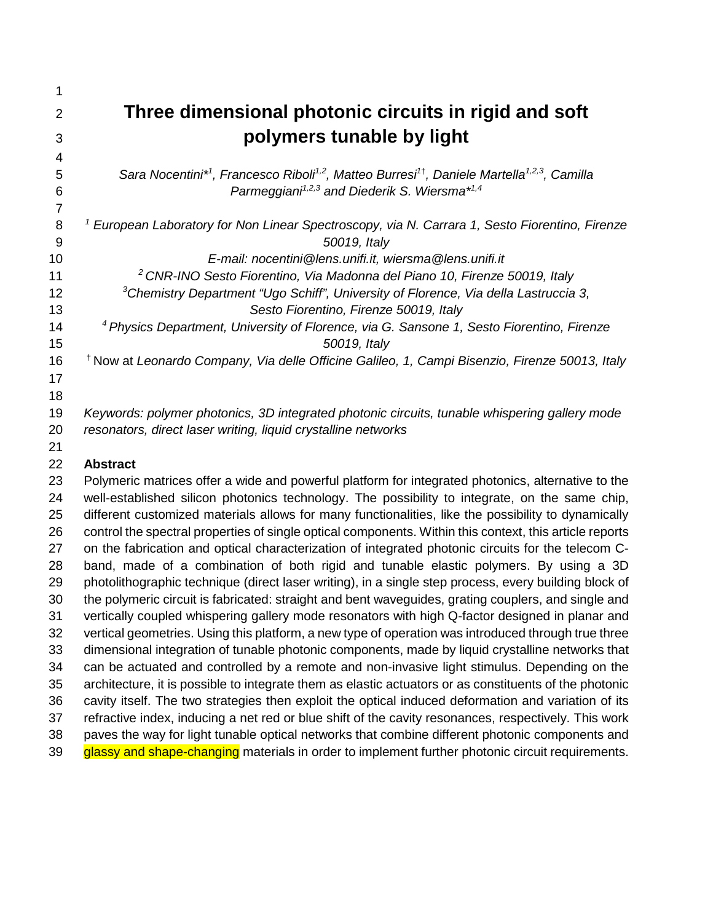| 1              |                                                                                                                                             |
|----------------|---------------------------------------------------------------------------------------------------------------------------------------------|
| $\overline{2}$ | Three dimensional photonic circuits in rigid and soft                                                                                       |
| 3              | polymers tunable by light                                                                                                                   |
| 4              |                                                                                                                                             |
| 5              | Sara Nocentini* <sup>1</sup> , Francesco Riboli <sup>1,2</sup> , Matteo Burresi <sup>1†</sup> , Daniele Martella <sup>1,2,3</sup> , Camilla |
| 6              | Parmeggiani <sup>1,2,3</sup> and Diederik S. Wiersma <sup>*1,4</sup>                                                                        |
| 7              |                                                                                                                                             |
| 8              | <sup>1</sup> European Laboratory for Non Linear Spectroscopy, via N. Carrara 1, Sesto Fiorentino, Firenze                                   |
| 9              | 50019, Italy                                                                                                                                |
| 10             | E-mail: nocentini@lens.unifi.it, wiersma@lens.unifi.it                                                                                      |
| 11             | <sup>2</sup> CNR-INO Sesto Fiorentino, Via Madonna del Piano 10, Firenze 50019, Italy                                                       |
| 12             | <sup>3</sup> Chemistry Department "Ugo Schiff", University of Florence, Via della Lastruccia 3,                                             |
| 13             | Sesto Fiorentino, Firenze 50019, Italy                                                                                                      |
| 14             | <sup>4</sup> Physics Department, University of Florence, via G. Sansone 1, Sesto Fiorentino, Firenze                                        |
| 15             | 50019, Italy                                                                                                                                |
| 16             | <sup>†</sup> Now at Leonardo Company, Via delle Officine Galileo, 1, Campi Bisenzio, Firenze 50013, Italy                                   |
| 17             |                                                                                                                                             |
| 18<br>19       | Keywords: polymer photonics, 3D integrated photonic circuits, tunable whispering gallery mode                                               |
| 20             | resonators, direct laser writing, liquid crystalline networks                                                                               |
| 21             |                                                                                                                                             |
| 22             | <b>Abstract</b>                                                                                                                             |
| 23             | Polymeric matrices offer a wide and powerful platform for integrated photonics, alternative to the                                          |
| 24             | well-established silicon photonics technology. The possibility to integrate, on the same chip,                                              |
| 25             | different customized materials allows for many functionalities, like the possibility to dynamically                                         |
| 26             | control the spectral properties of single optical components. Within this context, this article reports                                     |
| 27             | on the fabrication and optical characterization of integrated photonic circuits for the telecom C-                                          |
| 28             | band, made of a combination of both rigid and tunable elastic polymers. By using a 3D                                                       |
| 29             | photolithographic technique (direct laser writing), in a single step process, every building block of                                       |
| 30             | the polymeric circuit is fabricated: straight and bent waveguides, grating couplers, and single and                                         |
| 31             | vertically coupled whispering gallery mode resonators with high Q-factor designed in planar and                                             |
| 32             | vertical geometries. Using this platform, a new type of operation was introduced through true three                                         |
| 33             | dimensional integration of tunable photonic components, made by liquid crystalline networks that                                            |
| 34             | can be actuated and controlled by a remote and non-invasive light stimulus. Depending on the                                                |
| 35             | architecture, it is possible to integrate them as elastic actuators or as constituents of the photonic                                      |
| 36             | cavity itself. The two strategies then exploit the optical induced deformation and variation of its                                         |
| 37             | refractive index, inducing a net red or blue shift of the cavity resonances, respectively. This work                                        |
| 38             | paves the way for light tunable optical networks that combine different photonic components and                                             |
| 39             | glassy and shape-changing materials in order to implement further photonic circuit requirements.                                            |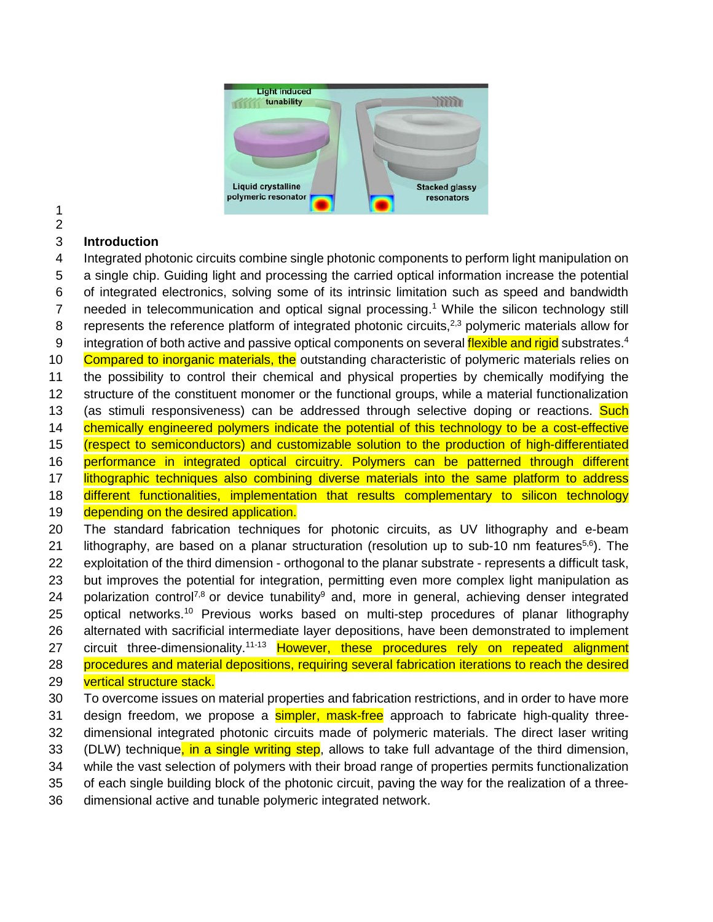

# 

 **Introduction**  Integrated photonic circuits combine single photonic components to perform light manipulation on a single chip. Guiding light and processing the carried optical information increase the potential of integrated electronics, solving some of its intrinsic limitation such as speed and bandwidth 7 needed in telecommunication and optical signal processing.<sup>1</sup> While the silicon technology still 8 represents the reference platform of integrated photonic circuits,<sup>2,3</sup> polymeric materials allow for 9 integration of both active and passive optical components on several flexible and rigid substrates.<sup>4</sup> 10 Compared to inorganic materials, the outstanding characteristic of polymeric materials relies on the possibility to control their chemical and physical properties by chemically modifying the structure of the constituent monomer or the functional groups, while a material functionalization 13 (as stimuli responsiveness) can be addressed through selective doping or reactions. Such chemically engineered polymers indicate the potential of this technology to be a cost-effective (respect to semiconductors) and customizable solution to the production of high-differentiated performance in integrated optical circuitry. Polymers can be patterned through different 17 lithographic techniques also combining diverse materials into the same platform to address different functionalities, implementation that results complementary to silicon technology 19 depending on the desired application. The standard fabrication techniques for photonic circuits, as UV lithography and e-beam 21 lithography, are based on a planar structuration (resolution up to sub-10 nm features<sup>5,6</sup>). The exploitation of the third dimension - orthogonal to the planar substrate - represents a difficult task, but improves the potential for integration, permitting even more complex light manipulation as 24 polarization control<sup>7,8</sup> or device tunability<sup>9</sup> and, more in general, achieving denser integrated 25 optical networks.<sup>10</sup> Previous works based on multi-step procedures of planar lithography alternated with sacrificial intermediate layer depositions, have been demonstrated to implement 27 circuit three-dimensionality.<sup>11-13</sup> However, these procedures rely on repeated alignment procedures and material depositions, requiring several fabrication iterations to reach the desired 29 vertical structure stack.

 To overcome issues on material properties and fabrication restrictions, and in order to have more 31 design freedom, we propose a **simpler, mask-free** approach to fabricate high-quality three- dimensional integrated photonic circuits made of polymeric materials. The direct laser writing 33 (DLW) technique, in a single writing step, allows to take full advantage of the third dimension, while the vast selection of polymers with their broad range of properties permits functionalization of each single building block of the photonic circuit, paving the way for the realization of a three-

dimensional active and tunable polymeric integrated network.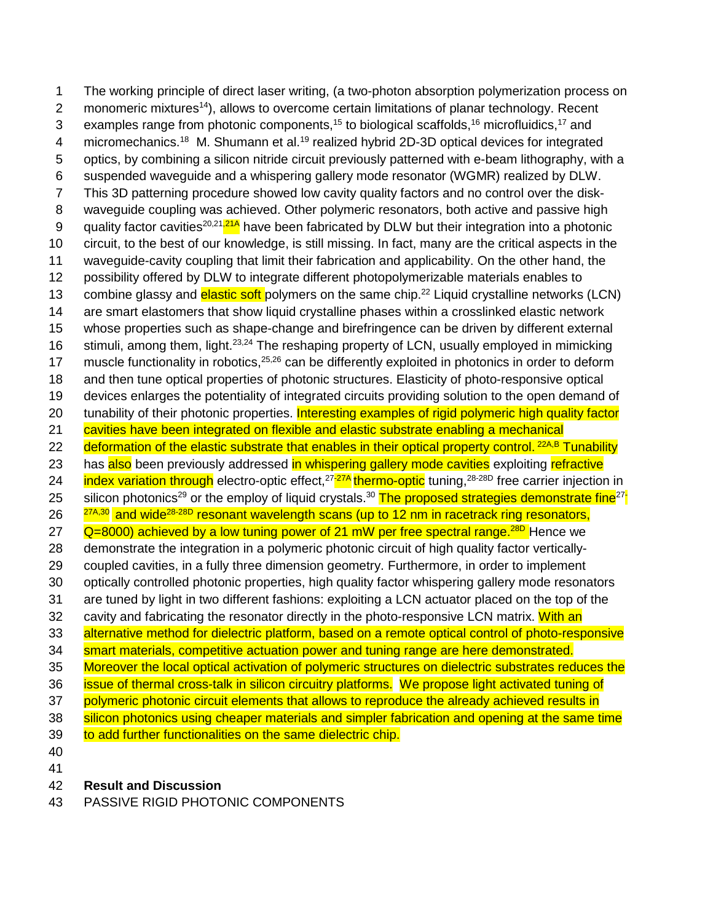1 The working principle of direct laser writing, (a two-photon absorption polymerization process on 2 monomeric mixtures<sup>14</sup>), allows to overcome certain limitations of planar technology. Recent 3 examples range from photonic components,<sup>15</sup> to biological scaffolds,<sup>16</sup> microfluidics,<sup>17</sup> and 4 micromechanics.<sup>18</sup> M. Shumann et al.<sup>19</sup> realized hybrid 2D-3D optical devices for integrated 5 optics, by combining a silicon nitride circuit previously patterned with e-beam lithography, with a 6 suspended waveguide and a whispering gallery mode resonator (WGMR) realized by DLW. 7 This 3D patterning procedure showed low cavity quality factors and no control over the disk-8 waveguide coupling was achieved. Other polymeric resonators, both active and passive high 9 quality factor cavities<sup>20,21,21A</sup> have been fabricated by DLW but their integration into a photonic 10 circuit, to the best of our knowledge, is still missing. In fact, many are the critical aspects in the 11 waveguide-cavity coupling that limit their fabrication and applicability. On the other hand, the 12 possibility offered by DLW to integrate different photopolymerizable materials enables to 13 combine glassy and elastic soft polymers on the same chip.<sup>22</sup> Liquid crystalline networks (LCN) 14 are smart elastomers that show liquid crystalline phases within a crosslinked elastic network 15 whose properties such as shape-change and birefringence can be driven by different external 16 stimuli, among them, light.<sup>23,24</sup> The reshaping property of LCN, usually employed in mimicking 17 muscle functionality in robotics,  $25,26$  can be differently exploited in photonics in order to deform 18 and then tune optical properties of photonic structures. Elasticity of photo-responsive optical 19 devices enlarges the potentiality of integrated circuits providing solution to the open demand of 20 tunability of their photonic properties. Interesting examples of rigid polymeric high quality factor 21 cavities have been integrated on flexible and elastic substrate enabling a mechanical 22 deformation of the elastic substrate that enables in their optical property control. <sup>22A,B</sup> Tunability 23 has also been previously addressed in whispering gallery mode cavities exploiting refractive 24 index variation through electro-optic effect,<sup>27-27A</sup> thermo-optic tuning,<sup>28-28D</sup> free carrier injection in 25 silicon photonics<sup>29</sup> or the employ of liquid crystals.<sup>30</sup> The proposed strategies demonstrate fine<sup>27-</sup>  $26 \frac{27A,30}{27A,30}$  and wide<sup>28-28D</sup> resonant wavelength scans (up to 12 nm in racetrack ring resonators,  $\alpha$   $\alpha$ =8000) achieved by a low tuning power of 21 mW per free spectral range.<sup>28D</sup> Hence we 28 demonstrate the integration in a polymeric photonic circuit of high quality factor vertically-29 coupled cavities, in a fully three dimension geometry. Furthermore, in order to implement 30 optically controlled photonic properties, high quality factor whispering gallery mode resonators 31 are tuned by light in two different fashions: exploiting a LCN actuator placed on the top of the 32 cavity and fabricating the resonator directly in the photo-responsive LCN matrix. With an 33 alternative method for dielectric platform, based on a remote optical control of photo-responsive 34 smart materials, competitive actuation power and tuning range are here demonstrated. 35 Moreover the local optical activation of polymeric structures on dielectric substrates reduces the 36 issue of thermal cross-talk in silicon circuitry platforms. We propose light activated tuning of 37 polymeric photonic circuit elements that allows to reproduce the already achieved results in 38 silicon photonics using cheaper materials and simpler fabrication and opening at the same time 39 to add further functionalities on the same dielectric chip. 40

41

#### 42 **Result and Discussion**

43 PASSIVE RIGID PHOTONIC COMPONENTS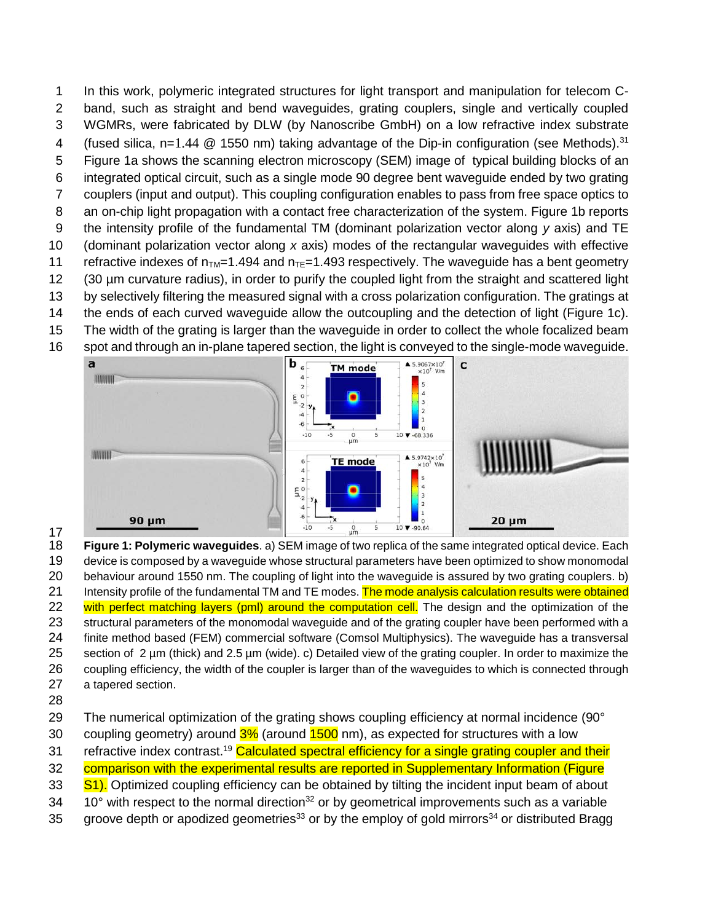In this work, polymeric integrated structures for light transport and manipulation for telecom C- band, such as straight and bend waveguides, grating couplers, single and vertically coupled WGMRs, were fabricated by DLW (by Nanoscribe GmbH) on a low refractive index substrate 4 (fused silica, n=1.44  $@$  1550 nm) taking advantage of the Dip-in configuration (see Methods).<sup>31</sup> Figure 1a shows the scanning electron microscopy (SEM) image of typical building blocks of an integrated optical circuit, such as a single mode 90 degree bent waveguide ended by two grating couplers (input and output). This coupling configuration enables to pass from free space optics to 8 an on-chip light propagation with a contact free characterization of the system. Figure 1b reports the intensity profile of the fundamental TM (dominant polarization vector along *y* axis) and TE (dominant polarization vector along *x* axis) modes of the rectangular waveguides with effective 11 refractive indexes of  $n_{TM}=1.494$  and  $n_{TE}=1.493$  respectively. The waveguide has a bent geometry (30 µm curvature radius), in order to purify the coupled light from the straight and scattered light by selectively filtering the measured signal with a cross polarization configuration. The gratings at the ends of each curved waveguide allow the outcoupling and the detection of light (Figure 1c). The width of the grating is larger than the waveguide in order to collect the whole focalized beam spot and through an in-plane tapered section, the light is conveyed to the single-mode waveguide.



 $\frac{17}{18}$  **Figure 1: Polymeric waveguides**. a) SEM image of two replica of the same integrated optical device. Each device is composed by a waveguide whose structural parameters have been optimized to show monomodal behaviour around 1550 nm. The coupling of light into the waveguide is assured by two grating couplers. b) 21 Intensity profile of the fundamental TM and TE modes. The mode analysis calculation results were obtained 22 with perfect matching layers (pml) around the computation cell. The design and the optimization of the structural parameters of the monomodal waveguide and of the grating coupler have been performed with a finite method based (FEM) commercial software (Comsol Multiphysics). The waveguide has a transversal section of 2 µm (thick) and 2.5 µm (wide). c) Detailed view of the grating coupler. In order to maximize the coupling efficiency, the width of the coupler is larger than of the waveguides to which is connected through a tapered section.

The numerical optimization of the grating shows coupling efficiency at normal incidence (90°

30 coupling geometry) around  $3\%$  (around  $1500$  nm), as expected for structures with a low

31 refractive index contrast.<sup>19</sup> Calculated spectral efficiency for a single grating coupler and their

32 comparison with the experimental results are reported in Supplementary Information (Figure

33 S1). Optimized coupling efficiency can be obtained by tilting the incident input beam of about

 $10^{\circ}$  with respect to the normal direction<sup>32</sup> or by geometrical improvements such as a variable

35 groove depth or apodized geometries<sup>33</sup> or by the employ of gold mirrors<sup>34</sup> or distributed Bragg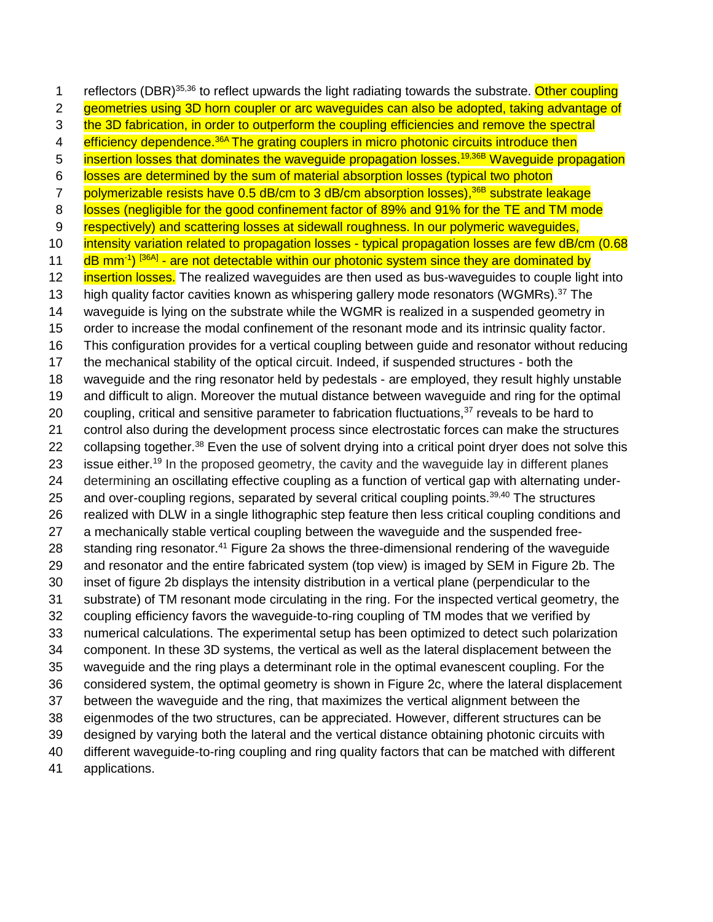1 reflectors (DBR)<sup>35,36</sup> to reflect upwards the light radiating towards the substrate. Other coupling 2 geometries using 3D horn coupler or arc waveguides can also be adopted, taking advantage of 3 the 3D fabrication, in order to outperform the coupling efficiencies and remove the spectral 4 <mark>efficiency dependence.<sup>36A</sup> The grating couplers in micro photonic circuits introduce then</mark> 5 insertion losses that dominates the waveguide propagation losses.<sup>19,36B</sup> Waveguide propagation losses are determined by the sum of material absorption losses (typical two photon 7 polymerizable resists have 0.5 dB/cm to 3 dB/cm absorption losses),<sup>36B</sup> substrate leakage 8 losses (negligible for the good confinement factor of 89% and 91% for the TE and TM mode 9 respectively) and scattering losses at sidewall roughness. In our polymeric waveguides, 10 intensity variation related to propagation losses - typical propagation losses are few dB/cm (0.68 11 dB mm<sup>-1</sup>) <sup>[36A]</sup> - are not detectable within our photonic system since they are dominated by **insertion losses.** The realized waveguides are then used as bus-waveguides to couple light into 13 high quality factor cavities known as whispering gallery mode resonators (WGMRs).<sup>37</sup> The waveguide is lying on the substrate while the WGMR is realized in a suspended geometry in order to increase the modal confinement of the resonant mode and its intrinsic quality factor. This configuration provides for a vertical coupling between guide and resonator without reducing the mechanical stability of the optical circuit. Indeed, if suspended structures - both the waveguide and the ring resonator held by pedestals - are employed, they result highly unstable and difficult to align. Moreover the mutual distance between waveguide and ring for the optimal 20 coupling, critical and sensitive parameter to fabrication fluctuations, reveals to be hard to control also during the development process since electrostatic forces can make the structures 22 collapsing together.<sup>38</sup> Even the use of solvent drying into a critical point dryer does not solve this 23 issue either.<sup>19</sup> In the proposed geometry, the cavity and the waveguide lay in different planes determining an oscillating effective coupling as a function of vertical gap with alternating under-25 and over-coupling regions, separated by several critical coupling points. $39,40$  The structures realized with DLW in a single lithographic step feature then less critical coupling conditions and a mechanically stable vertical coupling between the waveguide and the suspended free-28 standing ring resonator.<sup>41</sup> Figure 2a shows the three-dimensional rendering of the waveguide and resonator and the entire fabricated system (top view) is imaged by SEM in Figure 2b. The inset of figure 2b displays the intensity distribution in a vertical plane (perpendicular to the substrate) of TM resonant mode circulating in the ring. For the inspected vertical geometry, the coupling efficiency favors the waveguide-to-ring coupling of TM modes that we verified by numerical calculations. The experimental setup has been optimized to detect such polarization component. In these 3D systems, the vertical as well as the lateral displacement between the waveguide and the ring plays a determinant role in the optimal evanescent coupling. For the considered system, the optimal geometry is shown in Figure 2c, where the lateral displacement between the waveguide and the ring, that maximizes the vertical alignment between the eigenmodes of the two structures, can be appreciated. However, different structures can be designed by varying both the lateral and the vertical distance obtaining photonic circuits with different waveguide-to-ring coupling and ring quality factors that can be matched with different applications.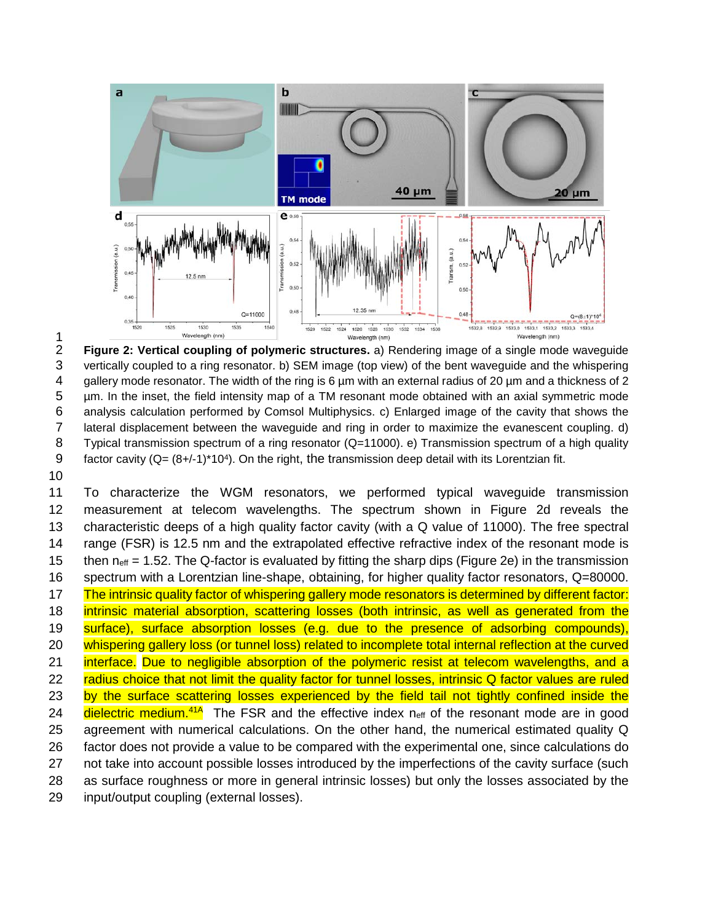

 $\frac{1}{2}$  **Figure 2: Vertical coupling of polymeric structures.** a) Rendering image of a single mode waveguide vertically coupled to a ring resonator. b) SEM image (top view) of the bent waveguide and the whispering gallery mode resonator. The width of the ring is 6 µm with an external radius of 20 µm and a thickness of 2 µm. In the inset, the field intensity map of a TM resonant mode obtained with an axial symmetric mode analysis calculation performed by Comsol Multiphysics. c) Enlarged image of the cavity that shows the lateral displacement between the waveguide and ring in order to maximize the evanescent coupling. d) Typical transmission spectrum of a ring resonator (Q=11000). e) Transmission spectrum of a high quality 9 factor cavity  $(Q=(8+/1)^*10^4)$ . On the right, the transmission deep detail with its Lorentzian fit.

 To characterize the WGM resonators, we performed typical waveguide transmission measurement at telecom wavelengths. The spectrum shown in Figure 2d reveals the characteristic deeps of a high quality factor cavity (with a Q value of 11000). The free spectral range (FSR) is 12.5 nm and the extrapolated effective refractive index of the resonant mode is 15 then  $n_{\text{eff}} = 1.52$ . The Q-factor is evaluated by fitting the sharp dips (Figure 2e) in the transmission spectrum with a Lorentzian line-shape, obtaining, for higher quality factor resonators, Q=80000. The intrinsic quality factor of whispering gallery mode resonators is determined by different factor: intrinsic material absorption, scattering losses (both intrinsic, as well as generated from the 19 surface), surface absorption losses (e.g. due to the presence of adsorbing compounds), 20 whispering gallery loss (or tunnel loss) related to incomplete total internal reflection at the curved interface. Due to negligible absorption of the polymeric resist at telecom wavelengths, and a 22 radius choice that not limit the quality factor for tunnel losses, intrinsic Q factor values are ruled 23 by the surface scattering losses experienced by the field tail not tightly confined inside the 24 dielectric medium.<sup>41A</sup> The FSR and the effective index  $n_{\text{eff}}$  of the resonant mode are in good agreement with numerical calculations. On the other hand, the numerical estimated quality Q factor does not provide a value to be compared with the experimental one, since calculations do not take into account possible losses introduced by the imperfections of the cavity surface (such as surface roughness or more in general intrinsic losses) but only the losses associated by the input/output coupling (external losses).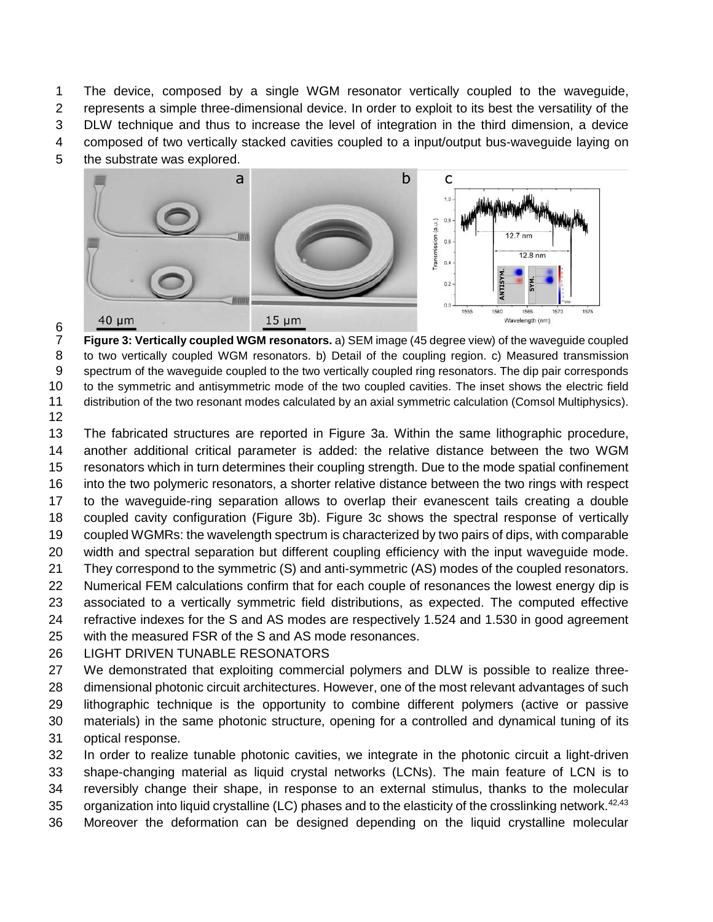The device, composed by a single WGM resonator vertically coupled to the waveguide, represents a simple three-dimensional device. In order to exploit to its best the versatility of the DLW technique and thus to increase the level of integration in the third dimension, a device composed of two vertically stacked cavities coupled to a input/output bus-waveguide laying on the substrate was explored.



 **Figure 3: Vertically coupled WGM resonators.** a) SEM image (45 degree view) of the waveguide coupled to two vertically coupled WGM resonators. b) Detail of the coupling region. c) Measured transmission spectrum of the waveguide coupled to the two vertically coupled ring resonators. The dip pair corresponds to the symmetric and antisymmetric mode of the two coupled cavities. The inset shows the electric field distribution of the two resonant modes calculated by an axial symmetric calculation (Comsol Multiphysics).

 The fabricated structures are reported in Figure 3a. Within the same lithographic procedure, another additional critical parameter is added: the relative distance between the two WGM resonators which in turn determines their coupling strength. Due to the mode spatial confinement into the two polymeric resonators, a shorter relative distance between the two rings with respect to the waveguide-ring separation allows to overlap their evanescent tails creating a double coupled cavity configuration (Figure 3b). Figure 3c shows the spectral response of vertically coupled WGMRs: the wavelength spectrum is characterized by two pairs of dips, with comparable width and spectral separation but different coupling efficiency with the input waveguide mode. They correspond to the symmetric (S) and anti-symmetric (AS) modes of the coupled resonators. Numerical FEM calculations confirm that for each couple of resonances the lowest energy dip is associated to a vertically symmetric field distributions, as expected. The computed effective refractive indexes for the S and AS modes are respectively 1.524 and 1.530 in good agreement with the measured FSR of the S and AS mode resonances.

LIGHT DRIVEN TUNABLE RESONATORS

 We demonstrated that exploiting commercial polymers and DLW is possible to realize three- dimensional photonic circuit architectures. However, one of the most relevant advantages of such lithographic technique is the opportunity to combine different polymers (active or passive materials) in the same photonic structure, opening for a controlled and dynamical tuning of its optical response.

 In order to realize tunable photonic cavities, we integrate in the photonic circuit a light-driven shape-changing material as liquid crystal networks (LCNs). The main feature of LCN is to reversibly change their shape, in response to an external stimulus, thanks to the molecular 35 organization into liquid crystalline (LC) phases and to the elasticity of the crosslinking network.<sup>42,43</sup> Moreover the deformation can be designed depending on the liquid crystalline molecular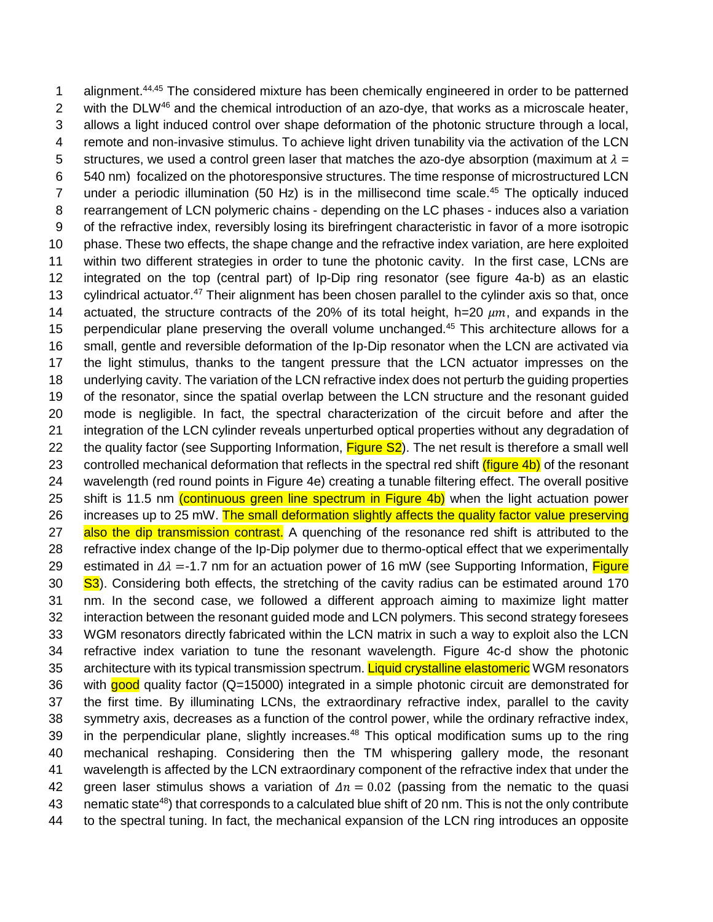1 alignment.<sup>44,45</sup> The considered mixture has been chemically engineered in order to be patterned 2 with the DLW<sup>46</sup> and the chemical introduction of an azo-dye, that works as a microscale heater, 3 allows a light induced control over shape deformation of the photonic structure through a local, 4 remote and non-invasive stimulus. To achieve light driven tunability via the activation of the LCN 5 structures, we used a control green laser that matches the azo-dye absorption (maximum at  $\lambda =$ 6 540 nm) focalized on the photoresponsive structures. The time response of microstructured LCN 7 under a periodic illumination (50 Hz) is in the millisecond time scale.<sup>45</sup> The optically induced 8 rearrangement of LCN polymeric chains - depending on the LC phases - induces also a variation 9 of the refractive index, reversibly losing its birefringent characteristic in favor of a more isotropic 10 phase. These two effects, the shape change and the refractive index variation, are here exploited 11 within two different strategies in order to tune the photonic cavity. In the first case, LCNs are 12 integrated on the top (central part) of Ip-Dip ring resonator (see figure 4a-b) as an elastic 13 cylindrical actuator.<sup>47</sup> Their alignment has been chosen parallel to the cylinder axis so that, once 14 actuated, the structure contracts of the 20% of its total height, h=20  $\mu$ m, and expands in the 15 perpendicular plane preserving the overall volume unchanged.<sup>45</sup> This architecture allows for a 16 small, gentle and reversible deformation of the Ip-Dip resonator when the LCN are activated via 17 the light stimulus, thanks to the tangent pressure that the LCN actuator impresses on the 18 underlying cavity. The variation of the LCN refractive index does not perturb the guiding properties 19 of the resonator, since the spatial overlap between the LCN structure and the resonant guided 20 mode is negligible. In fact, the spectral characterization of the circuit before and after the 21 integration of the LCN cylinder reveals unperturbed optical properties without any degradation of 22 the quality factor (see Supporting Information, Figure S2). The net result is therefore a small well 23 controlled mechanical deformation that reflects in the spectral red shift (figure 4b) of the resonant 24 wavelength (red round points in Figure 4e) creating a tunable filtering effect. The overall positive 25 shift is 11.5 nm (continuous green line spectrum in Figure 4b) when the light actuation power 26 increases up to 25 mW. The small deformation slightly affects the quality factor value preserving 27 also the dip transmission contrast. A quenching of the resonance red shift is attributed to the 28 refractive index change of the Ip-Dip polymer due to thermo-optical effect that we experimentally 29 estimated in  $\Delta \lambda$  =-1.7 nm for an actuation power of 16 mW (see Supporting Information, Figure 30 S3). Considering both effects, the stretching of the cavity radius can be estimated around 170 **S3**). Considering both effects, the stretching of the cavity radius can be estimated around 170 31 nm. In the second case, we followed a different approach aiming to maximize light matter 32 interaction between the resonant guided mode and LCN polymers. This second strategy foresees 33 WGM resonators directly fabricated within the LCN matrix in such a way to exploit also the LCN 34 refractive index variation to tune the resonant wavelength. Figure 4c-d show the photonic 35 architecture with its typical transmission spectrum. Liquid crystalline elastomeric WGM resonators 36 with good quality factor (Q=15000) integrated in a simple photonic circuit are demonstrated for 37 the first time. By illuminating LCNs, the extraordinary refractive index, parallel to the cavity 38 symmetry axis, decreases as a function of the control power, while the ordinary refractive index, 39 in the perpendicular plane, slightly increases.<sup>48</sup> This optical modification sums up to the ring 40 mechanical reshaping. Considering then the TM whispering gallery mode, the resonant 41 wavelength is affected by the LCN extraordinary component of the refractive index that under the 42 green laser stimulus shows a variation of  $\Delta n = 0.02$  (passing from the nematic to the quasi 43 nematic state<sup>48</sup>) that corresponds to a calculated blue shift of 20 nm. This is not the only contribute 44 to the spectral tuning. In fact, the mechanical expansion of the LCN ring introduces an opposite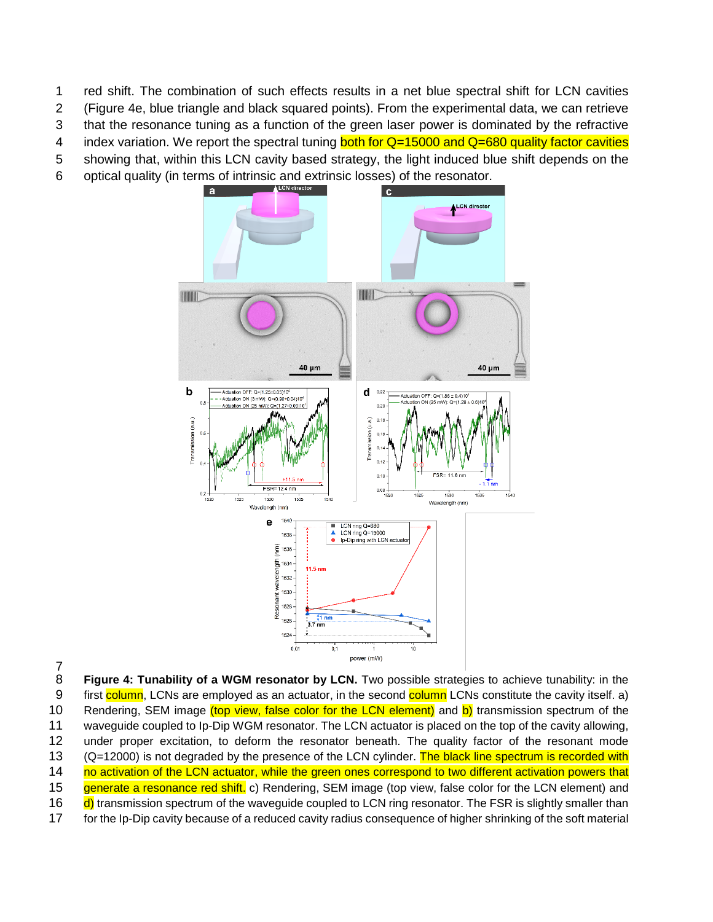1 red shift. The combination of such effects results in a net blue spectral shift for LCN cavities

2 (Figure 4e, blue triangle and black squared points). From the experimental data, we can retrieve

3 that the resonance tuning as a function of the green laser power is dominated by the refractive

- 4 index variation. We report the spectral tuning **both for**  $Q=15000$  **and**  $Q=680$  **quality factor cavities**
- 5 showing that, within this LCN cavity based strategy, the light induced blue shift depends on the
- 6 optical quality (in terms of intrinsic and extrinsic losses) of the resonator.



 $\frac{7}{8}$ 

**Figure 4: Tunability of a WGM resonator by LCN.** Two possible strategies to achieve tunability: in the 9 first column, LCNs are employed as an actuator, in the second column LCNs constitute the cavity itself. a) 10 Rendering, SEM image (top view, false color for the LCN element) and b) transmission spectrum of the 11 waveguide coupled to Ip-Dip WGM resonator. The LCN actuator is placed on the top of the cavity allowing, 12 under proper excitation, to deform the resonator beneath. The quality factor of the resonant mode 13 (Q=12000) is not degraded by the presence of the LCN cylinder. The black line spectrum is recorded with 14 no activation of the LCN actuator, while the green ones correspond to two different activation powers that 15 generate a resonance red shift. c) Rendering, SEM image (top view, false color for the LCN element) and 16 d) transmission spectrum of the waveguide coupled to LCN ring resonator. The FSR is slightly smaller than 17 for the Ip-Dip cavity because of a reduced cavity radius consequence of higher shrinking of the soft material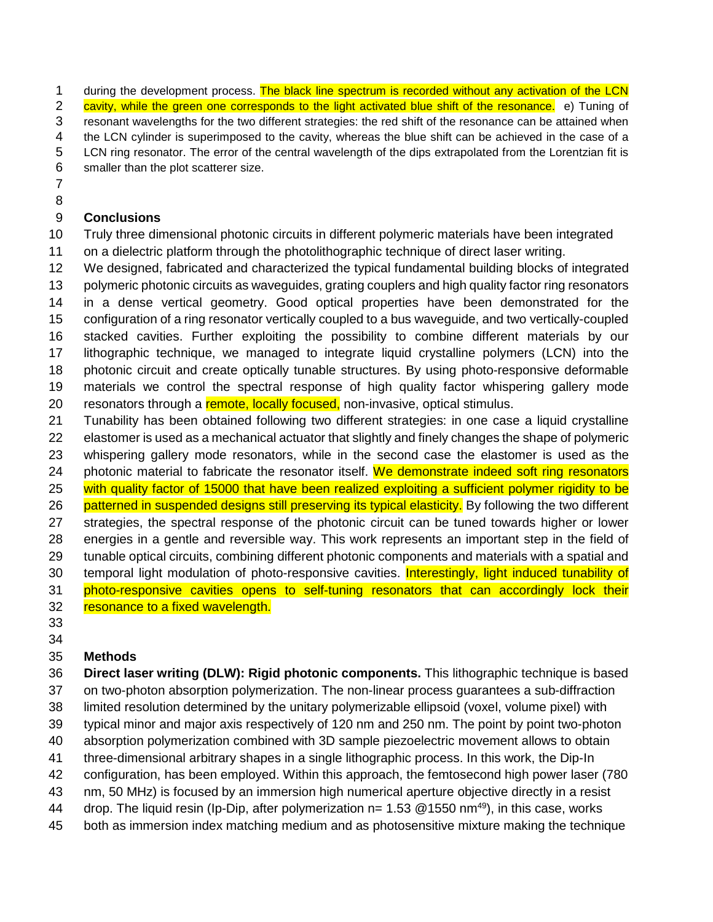1 during the development process. The black line spectrum is recorded without any activation of the LCN

2 cavity, while the green one corresponds to the light activated blue shift of the resonance. e) Tuning of resonant wavelengths for the two different strategies: the red shift of the resonance can be attained when

the LCN cylinder is superimposed to the cavity, whereas the blue shift can be achieved in the case of a

LCN ring resonator. The error of the central wavelength of the dips extrapolated from the Lorentzian fit is

- smaller than the plot scatterer size.
- 
- 

#### **Conclusions**

Truly three dimensional photonic circuits in different polymeric materials have been integrated

on a dielectric platform through the photolithographic technique of direct laser writing.

We designed, fabricated and characterized the typical fundamental building blocks of integrated

13 polymeric photonic circuits as waveguides, grating couplers and high quality factor ring resonators in a dense vertical geometry. Good optical properties have been demonstrated for the

configuration of a ring resonator vertically coupled to a bus waveguide, and two vertically-coupled

stacked cavities. Further exploiting the possibility to combine different materials by our

lithographic technique, we managed to integrate liquid crystalline polymers (LCN) into the

 photonic circuit and create optically tunable structures. By using photo-responsive deformable materials we control the spectral response of high quality factor whispering gallery mode 20 resonators through a remote, locally focused, non-invasive, optical stimulus.

 Tunability has been obtained following two different strategies: in one case a liquid crystalline elastomer is used as a mechanical actuator that slightly and finely changes the shape of polymeric whispering gallery mode resonators, while in the second case the elastomer is used as the 24 photonic material to fabricate the resonator itself. We demonstrate indeed soft ring resonators 25 with quality factor of 15000 that have been realized exploiting a sufficient polymer rigidity to be 26 patterned in suspended designs still preserving its typical elasticity. By following the two different

 strategies, the spectral response of the photonic circuit can be tuned towards higher or lower energies in a gentle and reversible way. This work represents an important step in the field of tunable optical circuits, combining different photonic components and materials with a spatial and 30 temporal light modulation of photo-responsive cavities. Interestingly, light induced tunability of

photo-responsive cavities opens to self-tuning resonators that can accordingly lock their

- resonance to a fixed wavelength.
- 

## **Methods**

 **Direct laser writing (DLW): Rigid photonic components.** This lithographic technique is based on two-photon absorption polymerization. The non-linear process guarantees a sub-diffraction limited resolution determined by the unitary polymerizable ellipsoid (voxel, volume pixel) with typical minor and major axis respectively of 120 nm and 250 nm. The point by point two-photon absorption polymerization combined with 3D sample piezoelectric movement allows to obtain

three-dimensional arbitrary shapes in a single lithographic process. In this work, the Dip-In

- configuration, has been employed. Within this approach, the femtosecond high power laser (780
- nm, 50 MHz) is focused by an immersion high numerical aperture objective directly in a resist
- 44 drop. The liquid resin (Ip-Dip, after polymerization n= 1.53  $@1550$  nm<sup>49</sup>), in this case, works
- both as immersion index matching medium and as photosensitive mixture making the technique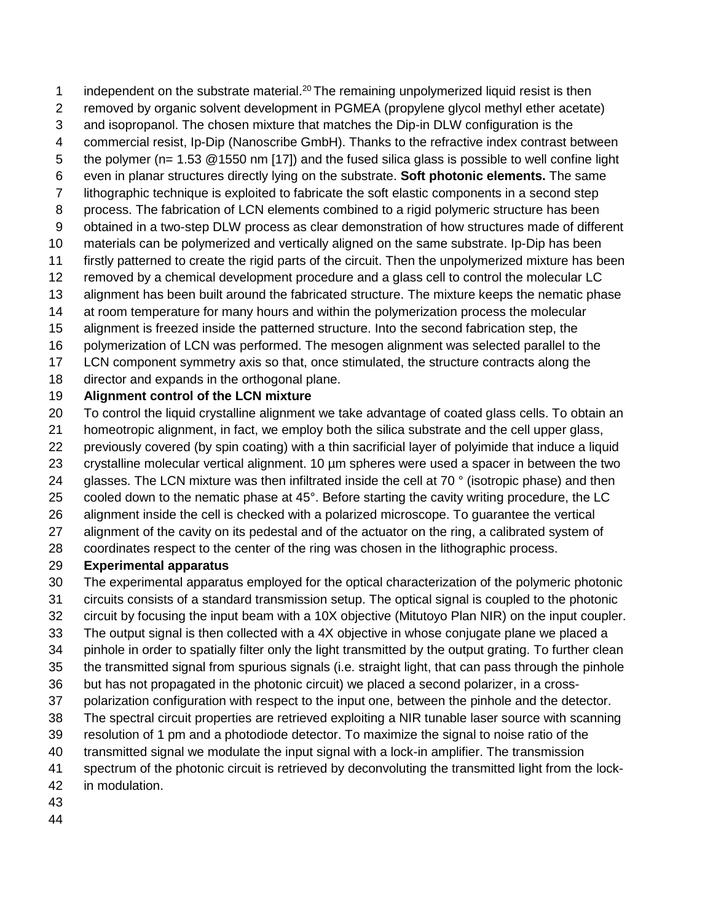- 1 independent on the substrate material.<sup>20</sup> The remaining unpolymerized liquid resist is then
- removed by organic solvent development in PGMEA (propylene glycol methyl ether acetate)
- and isopropanol. The chosen mixture that matches the Dip-in DLW configuration is the
- commercial resist, Ip-Dip (Nanoscribe GmbH). Thanks to the refractive index contrast between
- the polymer (n= 1.53 @1550 nm [17]) and the fused silica glass is possible to well confine light
- even in planar structures directly lying on the substrate. **Soft photonic elements.** The same
- lithographic technique is exploited to fabricate the soft elastic components in a second step
- process. The fabrication of LCN elements combined to a rigid polymeric structure has been
- obtained in a two-step DLW process as clear demonstration of how structures made of different
- materials can be polymerized and vertically aligned on the same substrate. Ip-Dip has been
- firstly patterned to create the rigid parts of the circuit. Then the unpolymerized mixture has been
- removed by a chemical development procedure and a glass cell to control the molecular LC
- alignment has been built around the fabricated structure. The mixture keeps the nematic phase at room temperature for many hours and within the polymerization process the molecular
- alignment is freezed inside the patterned structure. Into the second fabrication step, the
- polymerization of LCN was performed. The mesogen alignment was selected parallel to the
- LCN component symmetry axis so that, once stimulated, the structure contracts along the
- director and expands in the orthogonal plane.

## **Alignment control of the LCN mixture**

- To control the liquid crystalline alignment we take advantage of coated glass cells. To obtain an
- homeotropic alignment, in fact, we employ both the silica substrate and the cell upper glass,
- previously covered (by spin coating) with a thin sacrificial layer of polyimide that induce a liquid
- crystalline molecular vertical alignment. 10 µm spheres were used a spacer in between the two
- 24 glasses. The LCN mixture was then infiltrated inside the cell at 70 ° (isotropic phase) and then
- cooled down to the nematic phase at 45°. Before starting the cavity writing procedure, the LC
- alignment inside the cell is checked with a polarized microscope. To guarantee the vertical
- alignment of the cavity on its pedestal and of the actuator on the ring, a calibrated system of
- coordinates respect to the center of the ring was chosen in the lithographic process.

## **Experimental apparatus**

- The experimental apparatus employed for the optical characterization of the polymeric photonic
- circuits consists of a standard transmission setup. The optical signal is coupled to the photonic
- circuit by focusing the input beam with a 10X objective (Mitutoyo Plan NIR) on the input coupler.
- The output signal is then collected with a 4X objective in whose conjugate plane we placed a
- pinhole in order to spatially filter only the light transmitted by the output grating. To further clean
- the transmitted signal from spurious signals (i.e. straight light, that can pass through the pinhole
- but has not propagated in the photonic circuit) we placed a second polarizer, in a cross-
- polarization configuration with respect to the input one, between the pinhole and the detector.
- The spectral circuit properties are retrieved exploiting a NIR tunable laser source with scanning
- resolution of 1 pm and a photodiode detector. To maximize the signal to noise ratio of the
- transmitted signal we modulate the input signal with a lock-in amplifier. The transmission
- spectrum of the photonic circuit is retrieved by deconvoluting the transmitted light from the lock-
- in modulation.
- 
-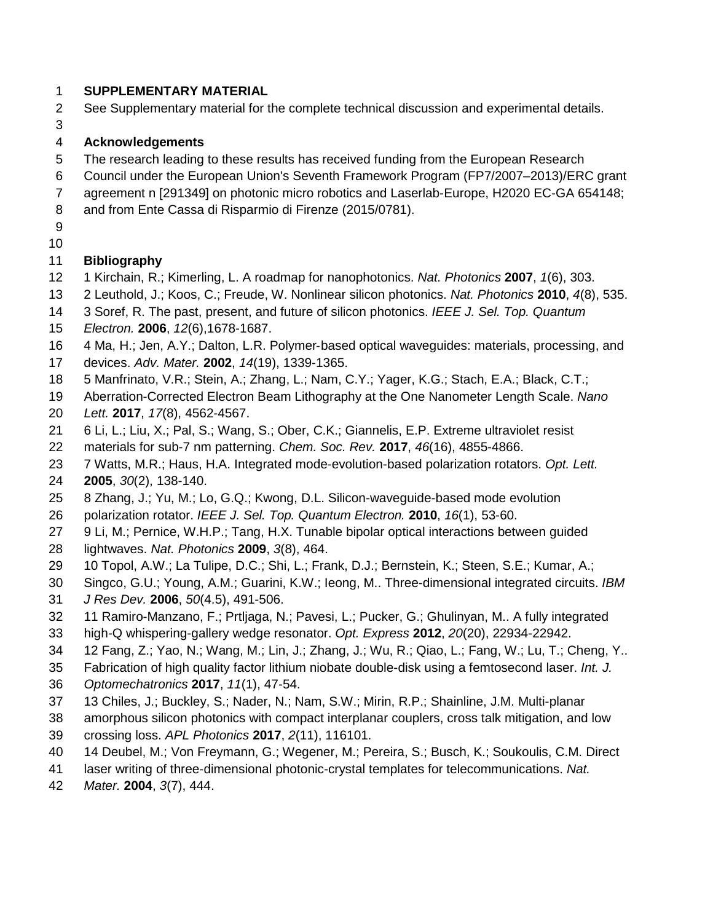#### **SUPPLEMENTARY MATERIAL**

- See Supplementary material for the complete technical discussion and experimental details.
- 

#### **Acknowledgements**

- 5 The research leading to these results has received funding from the European Research
- Council under the European Union's Seventh Framework Program (FP7/2007–2013)/ERC grant
- agreement n [291349] on photonic micro robotics and Laserlab-Europe, H2020 EC-GA 654148;
- and from Ente Cassa di Risparmio di Firenze (2015/0781).
- 

#### **Bibliography**

- 1 Kirchain, R.; Kimerling, L. A roadmap for nanophotonics. *Nat. Photonics* **2007**, *1*(6), 303.
- 2 Leuthold, J.; Koos, C.; Freude, W. Nonlinear silicon photonics. *Nat. Photonics* **2010**, *4*(8), 535.
- 3 Soref, R. The past, present, and future of silicon photonics. *IEEE J. Sel. Top. Quantum*
- *Electron.* **2006**, *12*(6),1678-1687.
- 4 Ma, H.; Jen, A.Y.; Dalton, L.R. Polymer‐based optical waveguides: materials, processing, and devices. *Adv. Mater.* **2002**, *14*(19), 1339-1365.
- 5 Manfrinato, V.R.; Stein, A.; Zhang, L.; Nam, C.Y.; Yager, K.G.; Stach, E.A.; Black, C.T.;
- Aberration-Corrected Electron Beam Lithography at the One Nanometer Length Scale. *Nano Lett.* **2017**, *17*(8), 4562-4567.
- 6 Li, L.; Liu, X.; Pal, S.; Wang, S.; Ober, C.K.; Giannelis, E.P. Extreme ultraviolet resist
- materials for sub-7 nm patterning. *Chem. Soc. Rev.* **2017**, *46*(16), 4855-4866.
- 7 Watts, M.R.; Haus, H.A. Integrated mode-evolution-based polarization rotators. *Opt. Lett.*
- **2005**, *30*(2), 138-140.
- 8 Zhang, J.; Yu, M.; Lo, G.Q.; Kwong, D.L. Silicon-waveguide-based mode evolution
- polarization rotator. *IEEE J. Sel. Top. Quantum Electron.* **2010**, *16*(1), 53-60.
- 27 9 Li, M.; Pernice, W.H.P.; Tang, H.X. Tunable bipolar optical interactions between guided lightwaves. *Nat. Photonics* **2009**, *3*(8), 464.
- 10 Topol, A.W.; La Tulipe, D.C.; Shi, L.; Frank, D.J.; Bernstein, K.; Steen, S.E.; Kumar, A.;
- Singco, G.U.; Young, A.M.; Guarini, K.W.; Ieong, M.. Three-dimensional integrated circuits. *IBM*
- *J Res Dev.* **2006**, *50*(4.5), 491-506.
- 11 Ramiro-Manzano, F.; Prtljaga, N.; Pavesi, L.; Pucker, G.; Ghulinyan, M.. A fully integrated
- high-Q whispering-gallery wedge resonator. *Opt. Express* **2012**, *20*(20), 22934-22942.
- 12 Fang, Z.; Yao, N.; Wang, M.; Lin, J.; Zhang, J.; Wu, R.; Qiao, L.; Fang, W.; Lu, T.; Cheng, Y..
- Fabrication of high quality factor lithium niobate double-disk using a femtosecond laser. *Int. J.*
- *Optomechatronics* **2017**, *11*(1), 47-54.
- 13 Chiles, J.; Buckley, S.; Nader, N.; Nam, S.W.; Mirin, R.P.; Shainline, J.M. Multi-planar
- amorphous silicon photonics with compact interplanar couplers, cross talk mitigation, and low crossing loss. *APL Photonics* **2017**, *2*(11), 116101.
- 14 Deubel, M.; Von Freymann, G.; Wegener, M.; Pereira, S.; Busch, K.; Soukoulis, C.M. Direct
- laser writing of three-dimensional photonic-crystal templates for telecommunications. *Nat.*
- *Mater.* **2004**, *3*(7), 444.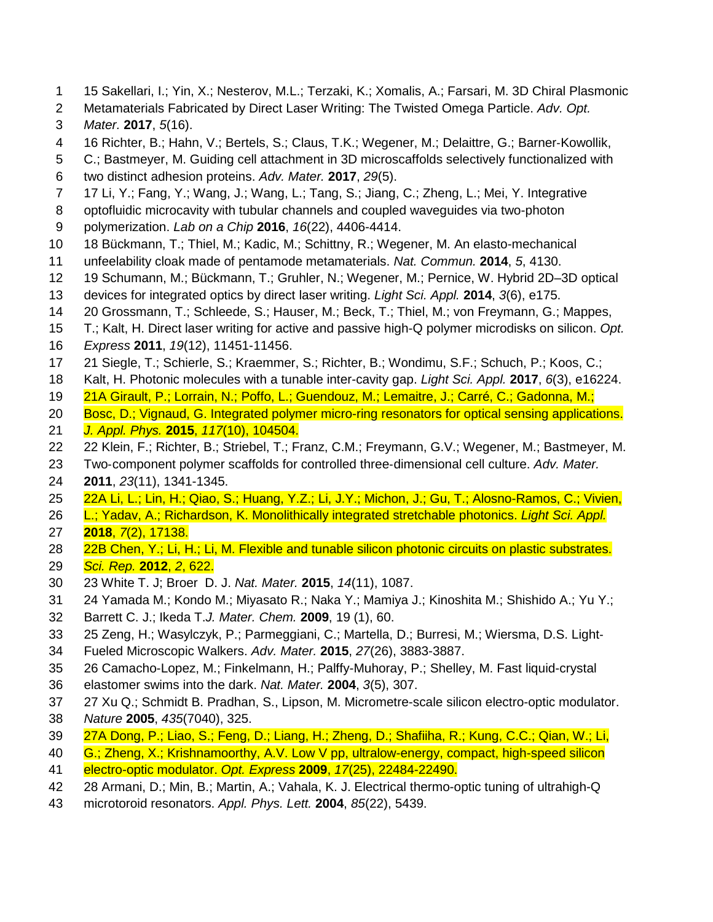- 15 Sakellari, I.; Yin, X.; Nesterov, M.L.; Terzaki, K.; Xomalis, A.; Farsari, M. 3D Chiral Plasmonic
- Metamaterials Fabricated by Direct Laser Writing: The Twisted Omega Particle. *Adv. Opt. Mater.* **2017**, *5*(16).
- 16 Richter, B.; Hahn, V.; Bertels, S.; Claus, T.K.; Wegener, M.; Delaittre, G.; Barner‐Kowollik,
- C.; Bastmeyer, M. Guiding cell attachment in 3D microscaffolds selectively functionalized with
- two distinct adhesion proteins. *Adv. Mater.* **2017**, *29*(5).
- 17 Li, Y.; Fang, Y.; Wang, J.; Wang, L.; Tang, S.; Jiang, C.; Zheng, L.; Mei, Y. Integrative
- optofluidic microcavity with tubular channels and coupled waveguides via two-photon
- polymerization. *Lab on a Chip* **2016**, *16*(22), 4406-4414.
- 18 Bückmann, T.; Thiel, M.; Kadic, M.; Schittny, R.; Wegener, M. An elasto-mechanical
- unfeelability cloak made of pentamode metamaterials. *Nat. Commun.* **2014**, *5*, 4130.
- 19 Schumann, M.; Bückmann, T.; Gruhler, N.; Wegener, M.; Pernice, W. Hybrid 2D–3D optical
- devices for integrated optics by direct laser writing. *Light Sci. Appl.* **2014**, *3*(6), e175.
- 20 Grossmann, T.; Schleede, S.; Hauser, M.; Beck, T.; Thiel, M.; von Freymann, G.; Mappes,
- T.; Kalt, H. Direct laser writing for active and passive high-Q polymer microdisks on silicon. *Opt.*
- *Express* **2011**, *19*(12), 11451-11456.
- 21 Siegle, T.; Schierle, S.; Kraemmer, S.; Richter, B.; Wondimu, S.F.; Schuch, P.; Koos, C.;
- Kalt, H. Photonic molecules with a tunable inter-cavity gap. *Light Sci. Appl.* **2017**, *6*(3), e16224.
- 21A Girault, P.; Lorrain, N.; Poffo, L.; Guendouz, M.; Lemaitre, J.; Carré, C.; Gadonna, M.;
- Bosc, D.; Vignaud, G. Integrated polymer micro-ring resonators for optical sensing applications.
- *J. Appl. Phys.* **2015**, *117*(10), 104504.
- 22 Klein, F.; Richter, B.; Striebel, T.; Franz, C.M.; Freymann, G.V.; Wegener, M.; Bastmeyer, M.
- Two‐component polymer scaffolds for controlled three‐dimensional cell culture. *Adv. Mater.*
- **2011**, *23*(11), 1341-1345.
- 22A Li, L.; Lin, H.; Qiao, S.; Huang, Y.Z.; Li, J.Y.; Michon, J.; Gu, T.; Alosno-Ramos, C.; Vivien,
- L.; Yadav, A.; Richardson, K. Monolithically integrated stretchable photonics. *Light Sci. Appl.* **2018**, *7*(2), 17138.
- 28 22B Chen, Y.; Li, H.; Li, M. Flexible and tunable silicon photonic circuits on plastic substrates.
- *Sci. Rep.* **2012**, *2*, 622.
- 23 White T. J; Broer D. J. *Nat. Mater.* **2015**, *14*(11), 1087.
- 24 Yamada M.; Kondo M.; Miyasato R.; Naka Y.; Mamiya J.; Kinoshita M.; Shishido A.; Yu Y.;
- Barrett C. J.; Ikeda T.*J. Mater. Chem.* **2009**, 19 (1), 60.
- 25 Zeng, H.; Wasylczyk, P.; Parmeggiani, C.; Martella, D.; Burresi, M.; Wiersma, D.S. Light‐
- Fueled Microscopic Walkers. *Adv. Mater.* **2015**, *27*(26), 3883-3887.
- 26 Camacho-Lopez, M.; Finkelmann, H.; Palffy-Muhoray, P.; Shelley, M. Fast liquid-crystal
- elastomer swims into the dark. *Nat. Mater.* **2004**, *3*(5), 307.
- 27 Xu Q.; Schmidt B. Pradhan, S., Lipson, M. Micrometre-scale silicon electro-optic modulator. *Nature* **2005**, *435*(7040), 325.
- 27A Dong, P.; Liao, S.; Feng, D.; Liang, H.; Zheng, D.; Shafiiha, R.; Kung, C.C.; Qian, W.; Li,
- G.; Zheng, X.; Krishnamoorthy, A.V. Low V pp, ultralow-energy, compact, high-speed silicon
- electro-optic modulator. *Opt. Express* **2009**, *17*(25), 22484-22490.
- 28 Armani, D.; Min, B.; Martin, A.; Vahala, K. J. Electrical thermo-optic tuning of ultrahigh-Q
- microtoroid resonators. *Appl. Phys. Lett.* **2004**, *85*(22), 5439.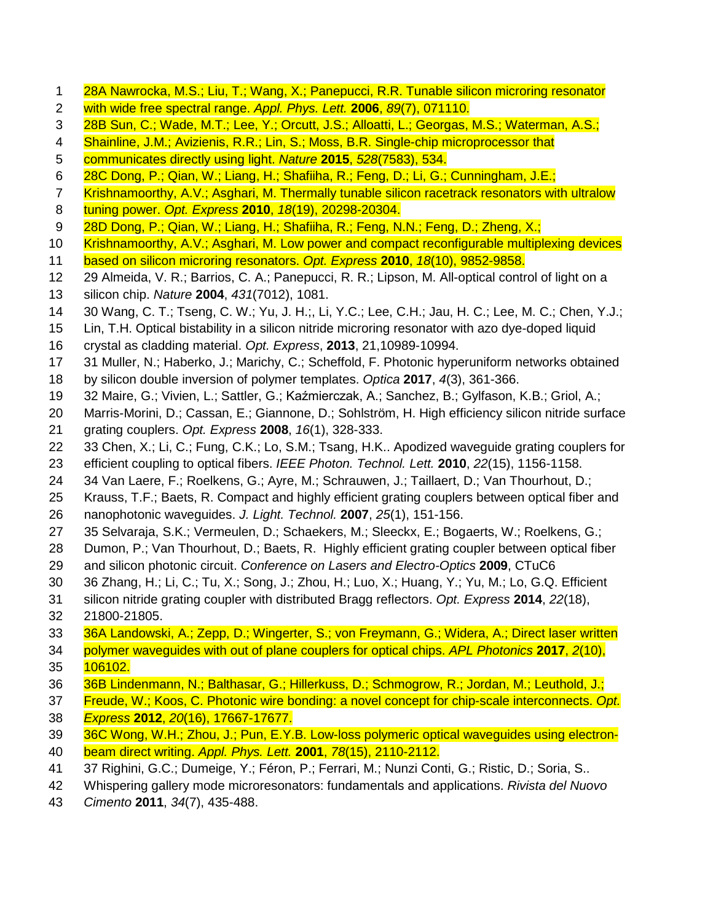- 28A Nawrocka, M.S.; Liu, T.; Wang, X.; Panepucci, R.R. Tunable silicon microring resonator
- with wide free spectral range. *Appl. Phys. Lett.* **2006**, *89*(7), 071110.
- 28B Sun, C.; Wade, M.T.; Lee, Y.; Orcutt, J.S.; Alloatti, L.; Georgas, M.S.; Waterman, A.S.;
- 4 Shainline, J.M.; Avizienis, R.R.; Lin, S.; Moss, B.R. Single-chip microprocessor that
- communicates directly using light. *Nature* **2015**, *528*(7583), 534.
- 28C Dong, P.; Qian, W.; Liang, H.; Shafiiha, R.; Feng, D.; Li, G.; Cunningham, J.E.;
- 7 Krishnamoorthy, A.V.; Asghari, M. Thermally tunable silicon racetrack resonators with ultralow
- tuning power. *Opt. Express* **2010**, *18*(19), 20298-20304.
- 9 28D Dong, P.; Qian, W.; Liang, H.; Shafiiha, R.; Feng, N.N.; Feng, D.; Zheng, X.;
- 10 Krishnamoorthy, A.V.; Asghari, M. Low power and compact reconfigurable multiplexing devices
- based on silicon microring resonators. *Opt. Express* **2010**, *18*(10), 9852-9858.
- 29 Almeida, V. R.; Barrios, C. A.; Panepucci, R. R.; Lipson, M. All-optical control of light on a
- silicon chip. *Nature* **2004**, *431*(7012), 1081.
- 30 Wang, C. T.; Tseng, C. W.; Yu, J. H.;, Li, Y.C.; Lee, C.H.; Jau, H. C.; Lee, M. C.; Chen, Y.J.;
- Lin, T.H. Optical bistability in a silicon nitride microring resonator with azo dye-doped liquid
- crystal as cladding material. *Opt. Express*, **2013**, 21,10989-10994.
- 31 Muller, N.; Haberko, J.; Marichy, C.; Scheffold, F. Photonic hyperuniform networks obtained
- by silicon double inversion of polymer templates. *Optica* **2017**, *4*(3), 361-366.
- 32 Maire, G.; Vivien, L.; Sattler, G.; Kaźmierczak, A.; Sanchez, B.; Gylfason, K.B.; Griol, A.;
- Marris-Morini, D.; Cassan, E.; Giannone, D.; Sohlström, H. High efficiency silicon nitride surface grating couplers. *Opt. Express* **2008**, *16*(1), 328-333.
- 33 Chen, X.; Li, C.; Fung, C.K.; Lo, S.M.; Tsang, H.K.. Apodized waveguide grating couplers for
- efficient coupling to optical fibers. *IEEE Photon. Technol. Lett.* **2010**, *22*(15), 1156-1158.
- 34 Van Laere, F.; Roelkens, G.; Ayre, M.; Schrauwen, J.; Taillaert, D.; Van Thourhout, D.;
- Krauss, T.F.; Baets, R. Compact and highly efficient grating couplers between optical fiber and nanophotonic waveguides. *J. Light. Technol.* **2007**, *25*(1), 151-156.
- 35 Selvaraja, S.K.; Vermeulen, D.; Schaekers, M.; Sleeckx, E.; Bogaerts, W.; Roelkens, G.;
- Dumon, P.; Van Thourhout, D.; Baets, R. Highly efficient grating coupler between optical fiber
- and silicon photonic circuit. *Conference on Lasers and Electro-Optics* **2009**, CTuC6
- 36 Zhang, H.; Li, C.; Tu, X.; Song, J.; Zhou, H.; Luo, X.; Huang, Y.; Yu, M.; Lo, G.Q. Efficient
- silicon nitride grating coupler with distributed Bragg reflectors. *Opt. Express* **2014**, *22*(18), 21800-21805.
- 36A Landowski, A.; Zepp, D.; Wingerter, S.; von Freymann, G.; Widera, A.; Direct laser written
- polymer waveguides with out of plane couplers for optical chips. *APL Photonics* **2017**, *2*(10), **106102.**
- 36B Lindenmann, N.; Balthasar, G.; Hillerkuss, D.; Schmogrow, R.; Jordan, M.; Leuthold, J.;
- Freude, W.; Koos, C. Photonic wire bonding: a novel concept for chip-scale interconnects. *Opt.*
- *Express* **2012**, *20*(16), 17667-17677.
- 39 36C Wong, W.H.; Zhou, J.; Pun, E.Y.B. Low-loss polymeric optical waveguides using electron-
- beam direct writing. *Appl. Phys. Lett.* **2001**, *78*(15), 2110-2112.
- 37 Righini, G.C.; Dumeige, Y.; Féron, P.; Ferrari, M.; Nunzi Conti, G.; Ristic, D.; Soria, S..
- Whispering gallery mode microresonators: fundamentals and applications. *Rivista del Nuovo*
- *Cimento* **2011**, *34*(7), 435-488.